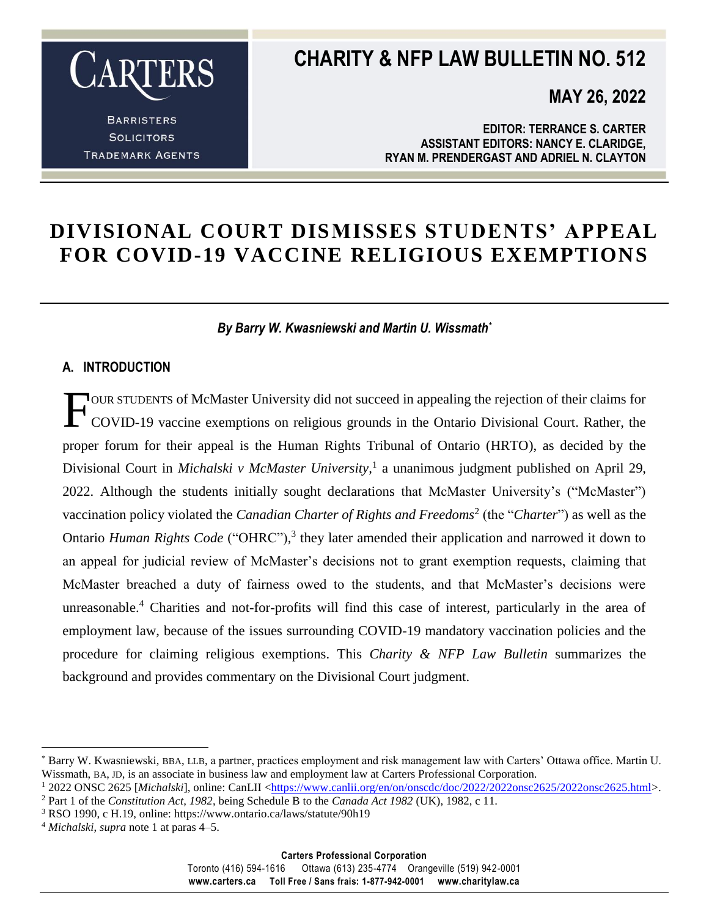

**BARRISTERS SOLICITORS TRADEMARK AGENTS** 

### **CHARITY & NFP LAW BULLETIN NO. 512**

**MAY 26, 2022**

**EDITOR: TERRANCE S. CARTER ASSISTANT EDITORS: NANCY E. CLARIDGE, RYAN M. PRENDERGAST AND ADRIEL N. CLAYTON**

### **DIVISIONAL COURT DISMISSES STUDENTS' APPEAL FOR COVID-19 VACCINE RELIGIOUS EXEMPTIONS**

#### *By Barry W. Kwasniewski and Martin U. Wissmath\**

#### **A. INTRODUCTION**

OUR STUDENTS of McMaster University did not succeed in appealing the rejection of their claims for COVID-19 vaccine exemptions on religious grounds in the Ontario Divisional Court. Rather, the proper forum for their appeal is the Human Rights Tribunal of Ontario (HRTO), as decided by the Divisional Court in *Michalski v McMaster University,*<sup>1</sup> a unanimous judgment published on April 29, 2022. Although the students initially sought declarations that McMaster University's ("McMaster") vaccination policy violated the *Canadian Charter of Rights and Freedoms*<sup>2</sup> (the "*Charter*") as well as the Ontario *Human Rights Code* ("OHRC"),<sup>3</sup> they later amended their application and narrowed it down to an appeal for judicial review of McMaster's decisions not to grant exemption requests, claiming that McMaster breached a duty of fairness owed to the students, and that McMaster's decisions were unreasonable.<sup>4</sup> Charities and not-for-profits will find this case of interest, particularly in the area of employment law, because of the issues surrounding COVID-19 mandatory vaccination policies and the procedure for claiming religious exemptions. This *Charity & NFP Law Bulletin* summarizes the background and provides commentary on the Divisional Court judgment. F

Toronto (416) 594-1616 Ottawa (613) 235-4774 Orangeville (519) 942-0001 **www.carters.ca Toll Free / Sans frais: 1-877-942-0001 www.charitylaw.ca**

<sup>\*</sup> Barry W. Kwasniewski, BBA, LLB, a partner, practices employment and risk management law with Carters' Ottawa office. Martin U. Wissmath, BA, JD, is an associate in business law and employment law at Carters Professional Corporation.

<sup>&</sup>lt;sup>1</sup> 2022 ONSC 2625 [*Michalski*], online: CanLII [<https://www.canlii.org/en/on/onscdc/doc/2022/2022onsc2625/2022onsc2625.html>](https://www.canlii.org/en/on/onscdc/doc/2022/2022onsc2625/2022onsc2625.html). <sup>2</sup> Part 1 of the *Constitution Act, 1982*, being Schedule B to the *Canada Act 1982* (UK), 1982, c 11.

<sup>3</sup> RSO 1990, c H.19, online: https://www.ontario.ca/laws/statute/90h19

<sup>4</sup> *Michalski*, *supra* note 1 at paras 4–5.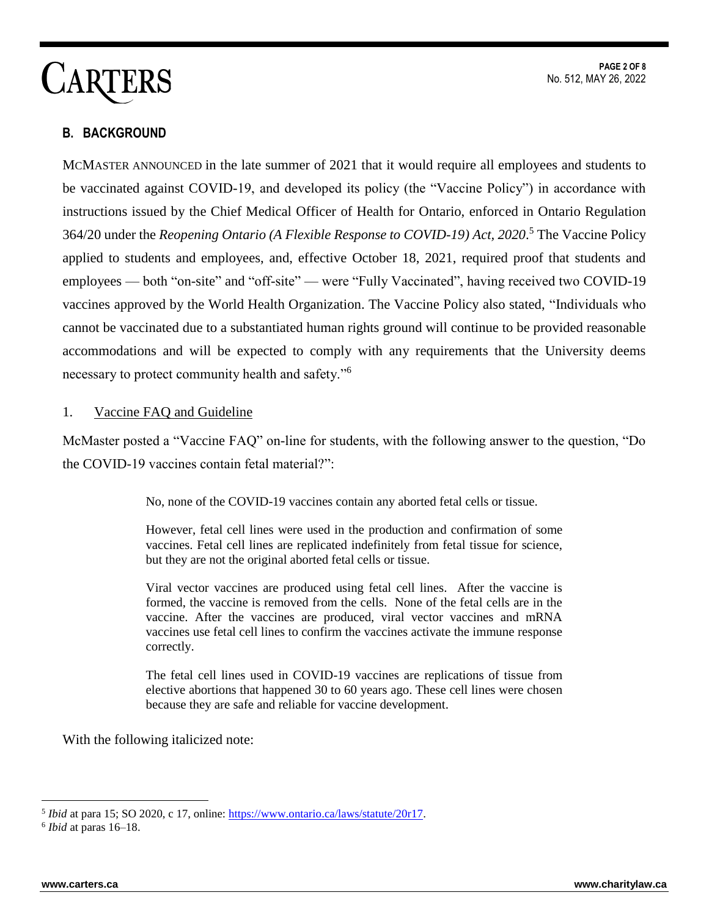### **B. BACKGROUND**

MCMASTER ANNOUNCED in the late summer of 2021 that it would require all employees and students to be vaccinated against COVID-19, and developed its policy (the "Vaccine Policy") in accordance with instructions issued by the Chief Medical Officer of Health for Ontario, enforced in Ontario Regulation 364/20 under the *Reopening Ontario (A Flexible Response to COVID-19) Act, 2020*. <sup>5</sup> The Vaccine Policy applied to students and employees, and, effective October 18, 2021, required proof that students and employees — both "on-site" and "off-site" — were "Fully Vaccinated", having received two COVID-19 vaccines approved by the World Health Organization. The Vaccine Policy also stated, "Individuals who cannot be vaccinated due to a substantiated human rights ground will continue to be provided reasonable accommodations and will be expected to comply with any requirements that the University deems necessary to protect community health and safety."<sup>6</sup>

#### 1. Vaccine FAQ and Guideline

McMaster posted a "Vaccine FAQ" on-line for students, with the following answer to the question, "Do the COVID-19 vaccines contain fetal material?":

No, none of the COVID-19 vaccines contain any aborted fetal cells or tissue.

However, fetal cell lines were used in the production and confirmation of some vaccines. Fetal cell lines are replicated indefinitely from fetal tissue for science, but they are not the original aborted fetal cells or tissue.

Viral vector vaccines are produced using fetal cell lines. After the vaccine is formed, the vaccine is removed from the cells. None of the fetal cells are in the vaccine. After the vaccines are produced, viral vector vaccines and mRNA vaccines use fetal cell lines to confirm the vaccines activate the immune response correctly.

The fetal cell lines used in COVID-19 vaccines are replications of tissue from elective abortions that happened 30 to 60 years ago. These cell lines were chosen because they are safe and reliable for vaccine development.

With the following italicized note:

<sup>&</sup>lt;sup>5</sup> *Ibid* at para 15; SO 2020, c 17, online: [https://www.ontario.ca/laws/statute/20r17.](https://www.ontario.ca/laws/statute/20r17)

<sup>6</sup> *Ibid* at paras 16–18.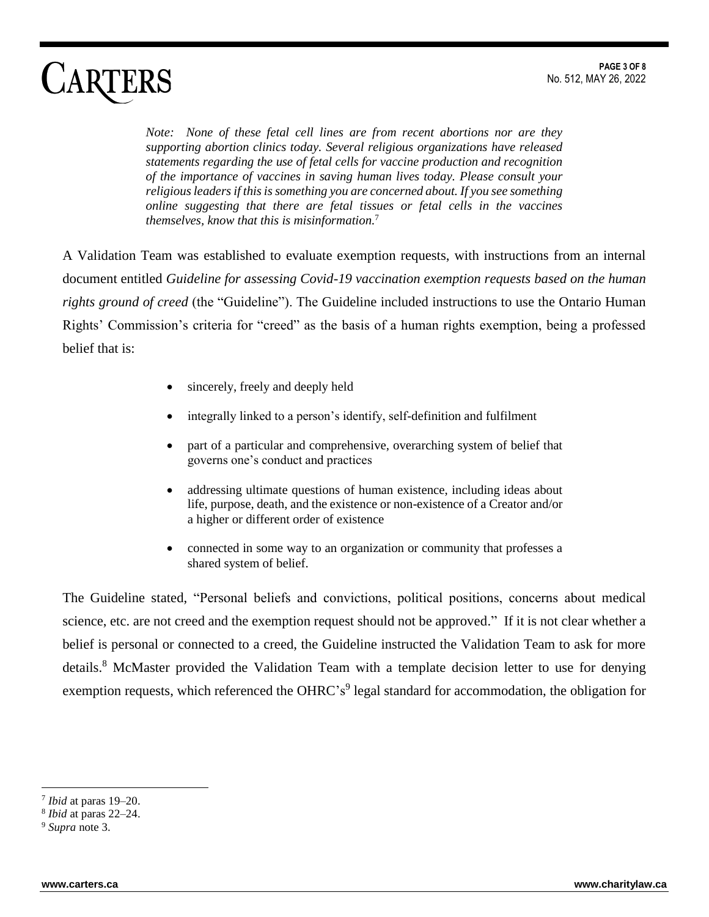*Note: None of these fetal cell lines are from recent abortions nor are they supporting abortion clinics today. Several religious organizations have released statements regarding the use of fetal cells for vaccine production and recognition of the importance of vaccines in saving human lives today. Please consult your religious leaders if this is something you are concerned about. If you see something online suggesting that there are fetal tissues or fetal cells in the vaccines themselves, know that this is misinformation.*<sup>7</sup>

A Validation Team was established to evaluate exemption requests, with instructions from an internal document entitled *Guideline for assessing Covid-19 vaccination exemption requests based on the human rights ground of creed* (the "Guideline"). The Guideline included instructions to use the Ontario Human Rights' Commission's criteria for "creed" as the basis of a human rights exemption, being a professed belief that is:

- sincerely, freely and deeply held
- integrally linked to a person's identify, self-definition and fulfilment
- part of a particular and comprehensive, overarching system of belief that governs one's conduct and practices
- addressing ultimate questions of human existence, including ideas about life, purpose, death, and the existence or non-existence of a Creator and/or a higher or different order of existence
- connected in some way to an organization or community that professes a shared system of belief.

The Guideline stated, "Personal beliefs and convictions, political positions, concerns about medical science, etc. are not creed and the exemption request should not be approved." If it is not clear whether a belief is personal or connected to a creed, the Guideline instructed the Validation Team to ask for more details.<sup>8</sup> McMaster provided the Validation Team with a template decision letter to use for denying exemption requests, which referenced the OHRC's<sup>9</sup> legal standard for accommodation, the obligation for

<sup>7</sup> *Ibid* at paras 19–20.

<sup>8</sup> *Ibid* at paras 22–24.

<sup>9</sup> *Supra* note 3.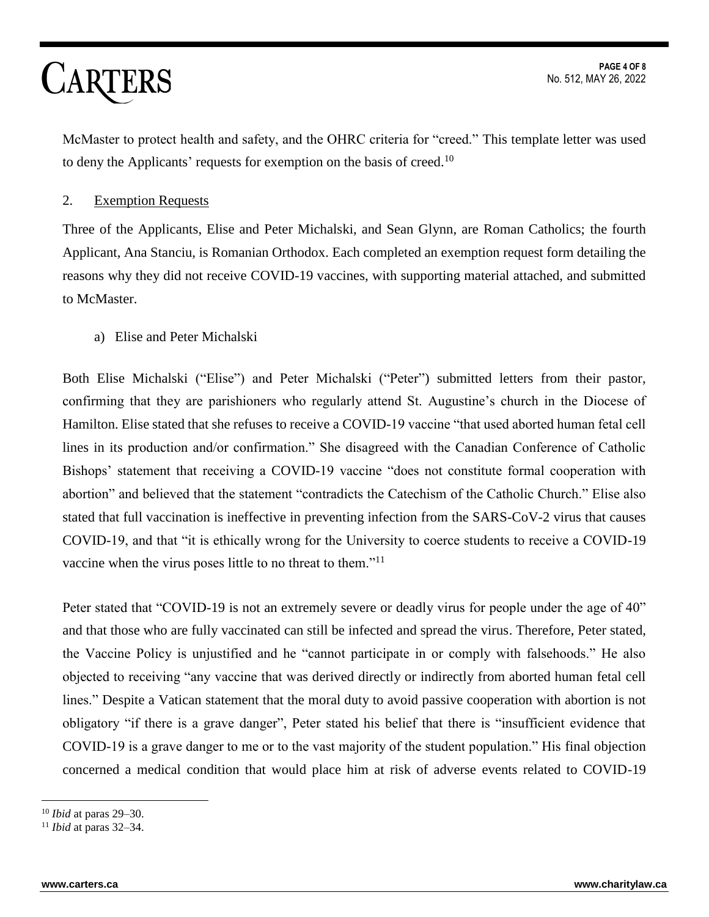McMaster to protect health and safety, and the OHRC criteria for "creed." This template letter was used to deny the Applicants' requests for exemption on the basis of creed.<sup>10</sup>

#### 2. Exemption Requests

Three of the Applicants, Elise and Peter Michalski, and Sean Glynn, are Roman Catholics; the fourth Applicant, Ana Stanciu, is Romanian Orthodox. Each completed an exemption request form detailing the reasons why they did not receive COVID-19 vaccines, with supporting material attached, and submitted to McMaster.

a) Elise and Peter Michalski

Both Elise Michalski ("Elise") and Peter Michalski ("Peter") submitted letters from their pastor, confirming that they are parishioners who regularly attend St. Augustine's church in the Diocese of Hamilton. Elise stated that she refuses to receive a COVID-19 vaccine "that used aborted human fetal cell lines in its production and/or confirmation." She disagreed with the Canadian Conference of Catholic Bishops' statement that receiving a COVID-19 vaccine "does not constitute formal cooperation with abortion" and believed that the statement "contradicts the Catechism of the Catholic Church." Elise also stated that full vaccination is ineffective in preventing infection from the SARS-CoV-2 virus that causes COVID-19, and that "it is ethically wrong for the University to coerce students to receive a COVID-19 vaccine when the virus poses little to no threat to them."<sup>11</sup>

Peter stated that "COVID-19 is not an extremely severe or deadly virus for people under the age of 40" and that those who are fully vaccinated can still be infected and spread the virus. Therefore, Peter stated, the Vaccine Policy is unjustified and he "cannot participate in or comply with falsehoods." He also objected to receiving "any vaccine that was derived directly or indirectly from aborted human fetal cell lines." Despite a Vatican statement that the moral duty to avoid passive cooperation with abortion is not obligatory "if there is a grave danger", Peter stated his belief that there is "insufficient evidence that COVID-19 is a grave danger to me or to the vast majority of the student population." His final objection concerned a medical condition that would place him at risk of adverse events related to COVID-19

<sup>10</sup> *Ibid* at paras 29–30.

<sup>11</sup> *Ibid* at paras 32–34.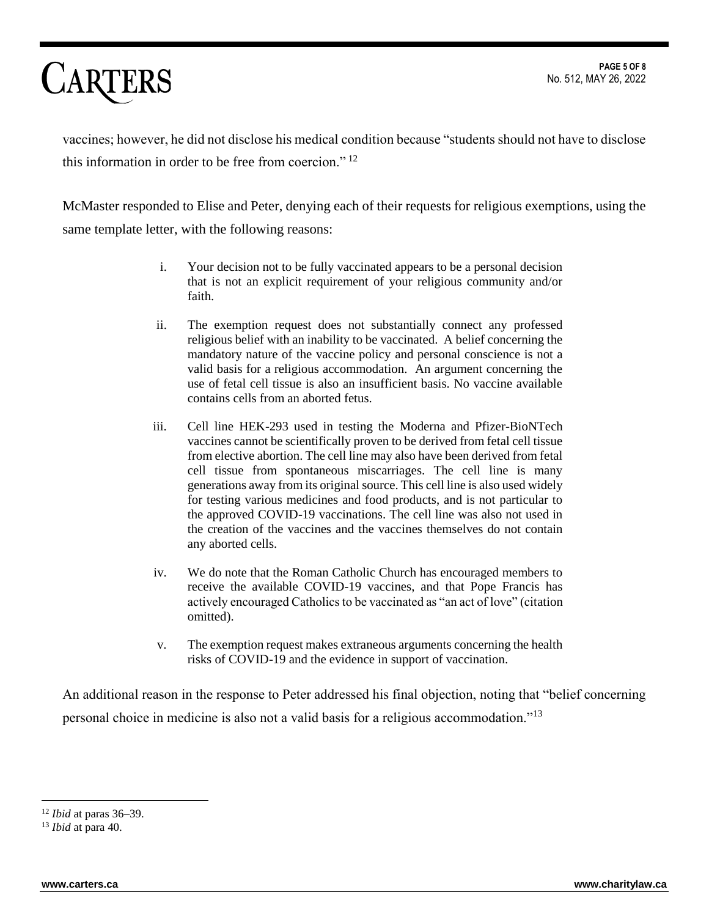vaccines; however, he did not disclose his medical condition because "students should not have to disclose this information in order to be free from coercion."  $12$ 

McMaster responded to Elise and Peter, denying each of their requests for religious exemptions, using the same template letter, with the following reasons:

- i. Your decision not to be fully vaccinated appears to be a personal decision that is not an explicit requirement of your religious community and/or faith.
- ii. The exemption request does not substantially connect any professed religious belief with an inability to be vaccinated. A belief concerning the mandatory nature of the vaccine policy and personal conscience is not a valid basis for a religious accommodation. An argument concerning the use of fetal cell tissue is also an insufficient basis. No vaccine available contains cells from an aborted fetus.
- iii. Cell line HEK-293 used in testing the Moderna and Pfizer-BioNTech vaccines cannot be scientifically proven to be derived from fetal cell tissue from elective abortion. The cell line may also have been derived from fetal cell tissue from spontaneous miscarriages. The cell line is many generations away from its original source. This cell line is also used widely for testing various medicines and food products, and is not particular to the approved COVID-19 vaccinations. The cell line was also not used in the creation of the vaccines and the vaccines themselves do not contain any aborted cells.
- iv. We do note that the Roman Catholic Church has encouraged members to receive the available COVID-19 vaccines, and that Pope Francis has actively encouraged Catholics to be vaccinated as "an act of love" (citation omitted).
- v. The exemption request makes extraneous arguments concerning the health risks of COVID-19 and the evidence in support of vaccination.

An additional reason in the response to Peter addressed his final objection, noting that "belief concerning personal choice in medicine is also not a valid basis for a religious accommodation."<sup>13</sup>

<sup>12</sup> *Ibid* at paras 36–39.

<sup>13</sup> *Ibid* at para 40.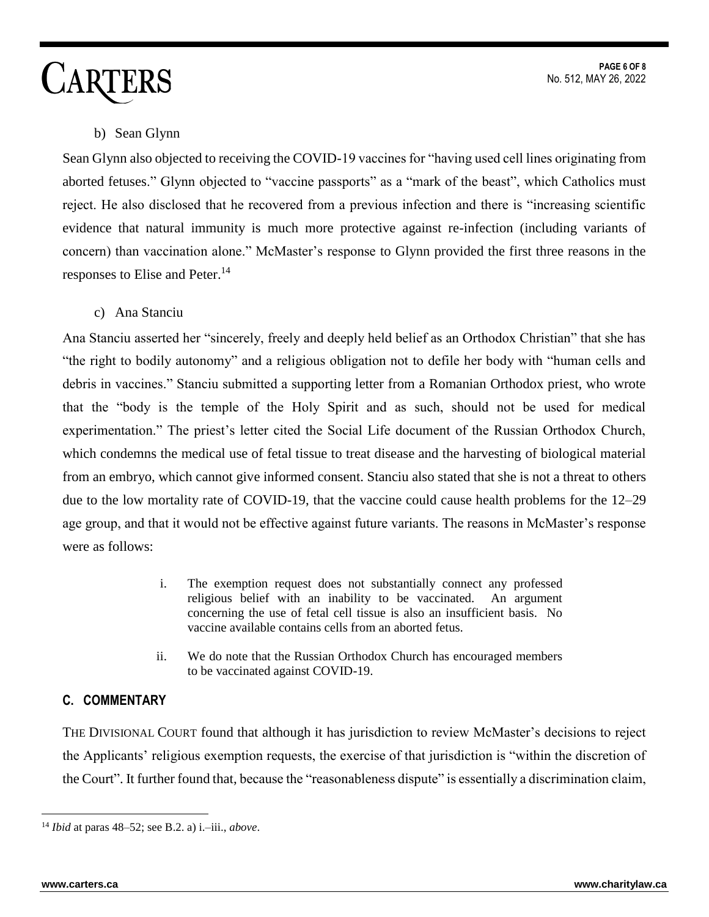### b) Sean Glynn

Sean Glynn also objected to receiving the COVID-19 vaccines for "having used cell lines originating from aborted fetuses." Glynn objected to "vaccine passports" as a "mark of the beast", which Catholics must reject. He also disclosed that he recovered from a previous infection and there is "increasing scientific evidence that natural immunity is much more protective against re-infection (including variants of concern) than vaccination alone." McMaster's response to Glynn provided the first three reasons in the responses to Elise and Peter. 14

c) Ana Stanciu

Ana Stanciu asserted her "sincerely, freely and deeply held belief as an Orthodox Christian" that she has "the right to bodily autonomy" and a religious obligation not to defile her body with "human cells and debris in vaccines." Stanciu submitted a supporting letter from a Romanian Orthodox priest, who wrote that the "body is the temple of the Holy Spirit and as such, should not be used for medical experimentation." The priest's letter cited the Social Life document of the Russian Orthodox Church, which condemns the medical use of fetal tissue to treat disease and the harvesting of biological material from an embryo, which cannot give informed consent. Stanciu also stated that she is not a threat to others due to the low mortality rate of COVID-19, that the vaccine could cause health problems for the 12–29 age group, and that it would not be effective against future variants. The reasons in McMaster's response were as follows:

- i. The exemption request does not substantially connect any professed religious belief with an inability to be vaccinated. An argument concerning the use of fetal cell tissue is also an insufficient basis. No vaccine available contains cells from an aborted fetus.
- ii. We do note that the Russian Orthodox Church has encouraged members to be vaccinated against COVID-19.

### **C. COMMENTARY**

THE DIVISIONAL COURT found that although it has jurisdiction to review McMaster's decisions to reject the Applicants' religious exemption requests, the exercise of that jurisdiction is "within the discretion of the Court". It further found that, because the "reasonableness dispute" is essentially a discrimination claim,

 $\overline{a}$ <sup>14</sup> *Ibid* at paras 48–52; see B.2. a) i.–iii., *above*.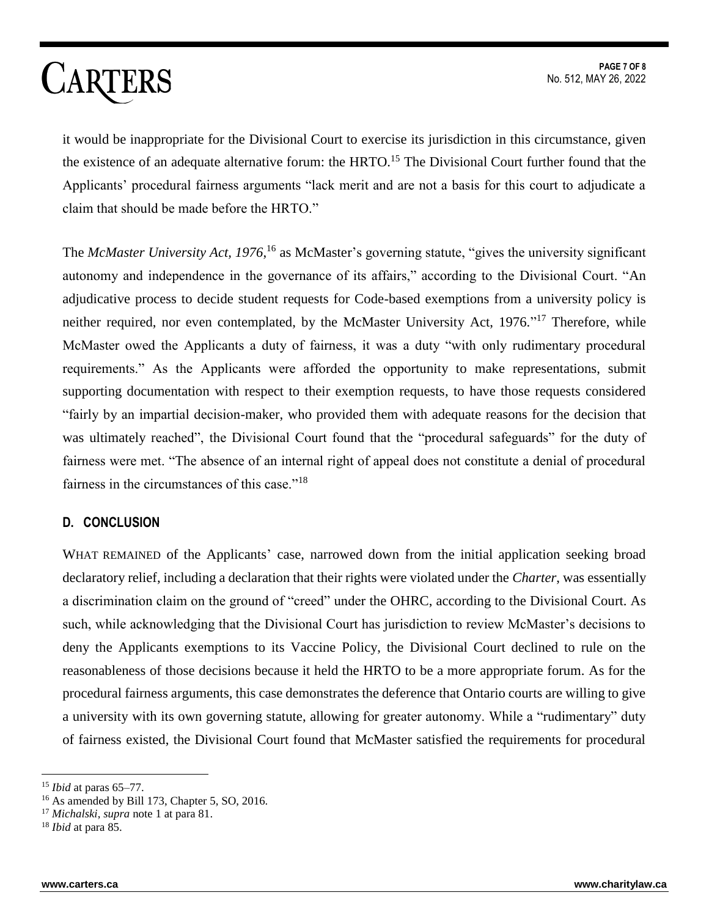it would be inappropriate for the Divisional Court to exercise its jurisdiction in this circumstance, given the existence of an adequate alternative forum: the HRTO.<sup>15</sup> The Divisional Court further found that the Applicants' procedural fairness arguments "lack merit and are not a basis for this court to adjudicate a claim that should be made before the HRTO."

The *McMaster University Act, 1976*,<sup>16</sup> as McMaster's governing statute, "gives the university significant autonomy and independence in the governance of its affairs," according to the Divisional Court. "An adjudicative process to decide student requests for Code-based exemptions from a university policy is neither required, nor even contemplated, by the McMaster University Act, 1976."<sup>17</sup> Therefore, while McMaster owed the Applicants a duty of fairness, it was a duty "with only rudimentary procedural requirements." As the Applicants were afforded the opportunity to make representations, submit supporting documentation with respect to their exemption requests, to have those requests considered "fairly by an impartial decision-maker, who provided them with adequate reasons for the decision that was ultimately reached", the Divisional Court found that the "procedural safeguards" for the duty of fairness were met. "The absence of an internal right of appeal does not constitute a denial of procedural fairness in the circumstances of this case."<sup>18</sup>

#### **D. CONCLUSION**

WHAT REMAINED of the Applicants' case, narrowed down from the initial application seeking broad declaratory relief, including a declaration that their rights were violated under the *Charter*, was essentially a discrimination claim on the ground of "creed" under the OHRC, according to the Divisional Court. As such, while acknowledging that the Divisional Court has jurisdiction to review McMaster's decisions to deny the Applicants exemptions to its Vaccine Policy, the Divisional Court declined to rule on the reasonableness of those decisions because it held the HRTO to be a more appropriate forum. As for the procedural fairness arguments, this case demonstrates the deference that Ontario courts are willing to give a university with its own governing statute, allowing for greater autonomy. While a "rudimentary" duty of fairness existed, the Divisional Court found that McMaster satisfied the requirements for procedural

<sup>15</sup> *Ibid* at paras 65–77.

<sup>&</sup>lt;sup>16</sup> As amended by Bill 173, Chapter 5, SO, 2016.

<sup>17</sup> *Michalski*, *supra* note 1 at para 81.

<sup>18</sup> *Ibid* at para 85.